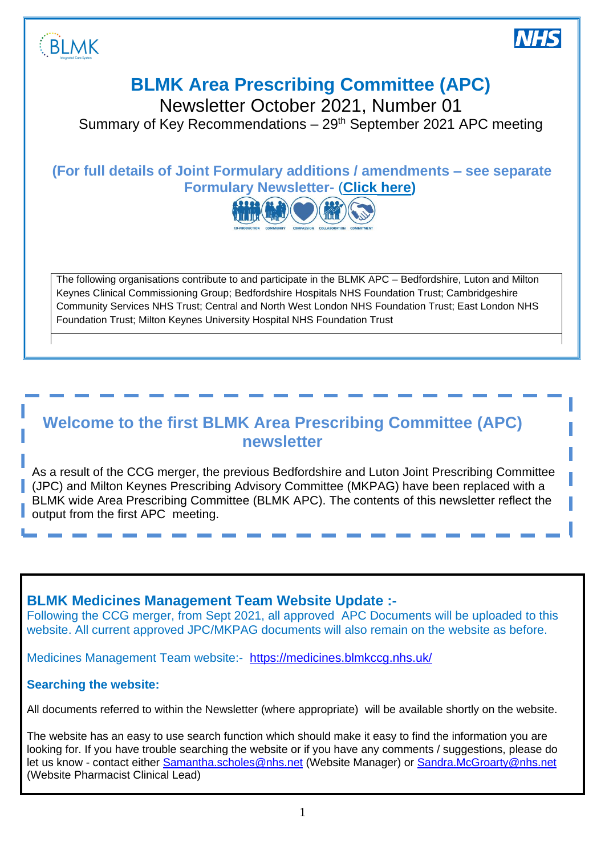



# **BLMK Area Prescribing Committee (APC)**

Newsletter October 2021, Number 01

Summary of Key Recommendations  $-29<sup>th</sup>$  September 2021 APC meeting

# **(For full details of Joint Formulary additions / amendments – see separate Formulary Newsletter-** (**[Click here\)](https://medicines.blmkccg.nhs.uk/newsletter/blmk-wide-joint-formularies-newsletter-september-2021/)**



The following organisations contribute to and participate in the BLMK APC – Bedfordshire, Luton and Milton Keynes Clinical Commissioning Group; Bedfordshire Hospitals NHS Foundation Trust; Cambridgeshire Community Services NHS Trust; Central and North West London NHS Foundation Trust; East London NHS Foundation Trust; Milton Keynes University Hospital NHS Foundation Trust

# **Welcome to the first BLMK Area Prescribing Committee (APC) newsletter**

*28th November 2018* (JPC) and Milton Keynes Prescribing Advisory Committee (MKPAG) have been replaced with a As a result of the CCG merger, the previous Bedfordshire and Luton Joint Prescribing Committee BLMK wide Area Prescribing Committee (BLMK APC). The contents of this newsletter reflect the output from the first APC meeting.

## **BLMK Medicines Management Team Website Update :-**

Following the CCG merger, from Sept 2021, all approved APC Documents will be uploaded to this website. All current approved JPC/MKPAG documents will also remain on the website as before.

Medicines Management Team website:-<https://medicines.blmkccg.nhs.uk/>

### **Searching the website:**

All documents referred to within the Newsletter (where appropriate) will be available shortly on the website.

The website has an easy to use search function which should make it easy to find the information you are looking for. If you have trouble searching the website or if you have any comments / suggestions, please do let us know - contact either [Samantha.scholes@nhs.net](mailto:Samantha.scholes@nhs.net) (Website Manager) or [Sandra.McGroarty@nhs.net](mailto:Sandra.McGroarty@nhs.net) (Website Pharmacist Clinical Lead)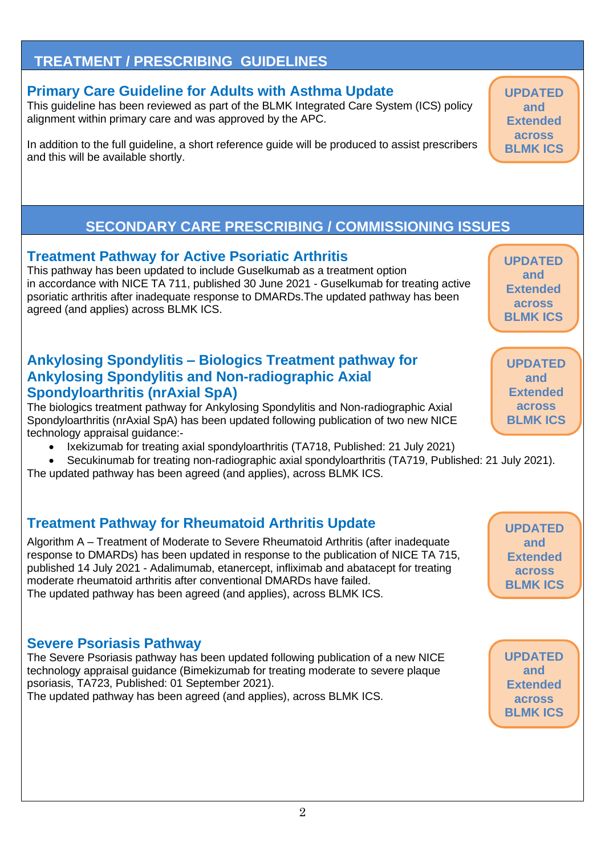# **TREATMENT / PRESCRIBING GUIDELINES**

# **Primary Care Guideline for Adults with Asthma Update**

This guideline has been reviewed as part of the BLMK Integrated Care System (ICS) policy alignment within primary care and was approved by the APC.

In addition to the full guideline, a short reference guide will be produced to assist prescribers and this will be available shortly.

# **SECONDARY CARE PRESCRIBING / COMMISSIONING ISSUES**

# **Treatment Pathway for Active Psoriatic Arthritis**

This pathway has been updated to include Guselkumab as a treatment option in accordance with NICE TA 711, published 30 June 2021 - Guselkumab for treating active psoriatic arthritis after inadequate response to DMARDs.The updated pathway has been agreed (and applies) across BLMK ICS.

## **Ankylosing Spondylitis – Biologics Treatment pathway for Ankylosing Spondylitis and Non-radiographic Axial Spondyloarthritis (nrAxial SpA)**

The biologics treatment pathway for Ankylosing Spondylitis and Non-radiographic Axial Spondyloarthritis (nrAxial SpA) has been updated following publication of two new NICE technology appraisal guidance:-

- Ixekizumab for treating axial spondyloarthritis (TA718, Published: 21 July 2021)
- Secukinumab for treating non-radiographic axial spondyloarthritis (TA719, Published: 21 July 2021).

The updated pathway has been agreed (and applies), across BLMK ICS.

# **Treatment Pathway for Rheumatoid Arthritis Update**

Algorithm A – Treatment of Moderate to Severe Rheumatoid Arthritis (after inadequate response to DMARDs) has been updated in response to the publication of NICE TA 715, published 14 July 2021 - Adalimumab, etanercept, infliximab and abatacept for treating moderate rheumatoid arthritis after conventional DMARDs have failed. The updated pathway has been agreed (and applies), across BLMK ICS.

# **Severe Psoriasis Pathway**

The Severe Psoriasis pathway has been updated following publication of a new NICE technology appraisal guidance (Bimekizumab for treating moderate to severe plaque psoriasis, TA723, Published: 01 September 2021). The updated pathway has been agreed (and applies), across BLMK ICS.

**UPDATED and Extended across BLMK ICS**

**UPDATED and Extended across BLMK ICS**

**UPDATED and Extended across BLMK ICS**

**UPDATED and Extended across BLMK ICS**

**UPDATED and Extended across BLMK ICS**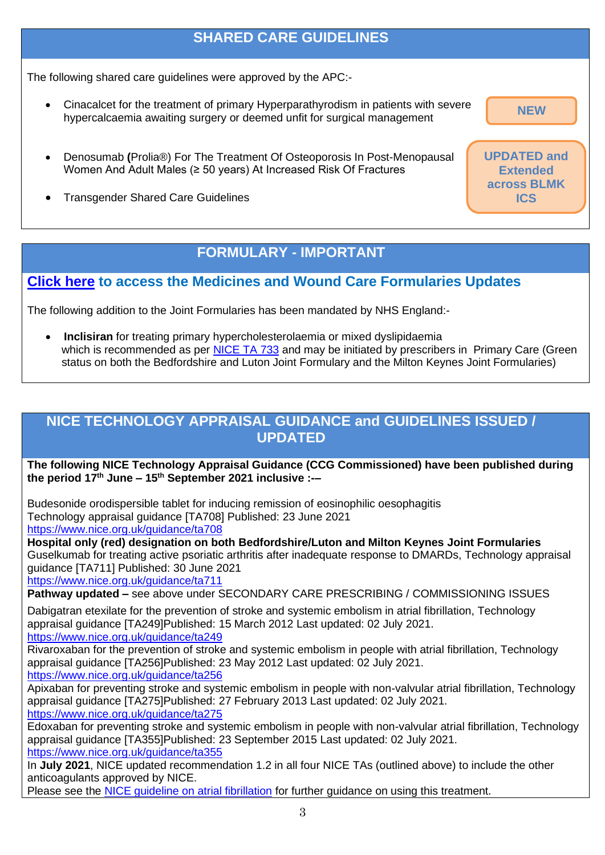# **SHARED CARE GUIDELINES**

The following shared care guidelines were approved by the APC:-

- Cinacalcet for the treatment of primary Hyperparathyrodism in patients with severe hypercalcaemia awaiting surgery or deemed unfit for surgical management
- Denosumab **(**Prolia®) For The Treatment Of Osteoporosis In Post-Menopausal Women And Adult Males (≥ 50 years) At Increased Risk Of Fractures
- Transgender Shared Care Guidelines

## **FORMULARY - IMPORTANT**

### **[Click here](https://medicines.blmkccg.nhs.uk/newsletter/blmk-wide-joint-formularies-newsletter-september-2021/) to access the Medicines and Wound Care Formularies Updates**

The following addition to the Joint Formularies has been mandated by NHS England:-

• **Inclisiran** for treating primary hypercholesterolaemia or mixed dyslipidaemia which is recommended as per [NICE TA 733](https://www.nice.org.uk/guidance/ta733) and may be initiated by prescribers in Primary Care (Green status on both the Bedfordshire and Luton Joint Formulary and the Milton Keynes Joint Formularies)

# **NICE TECHNOLOGY APPRAISAL GUIDANCE and GUIDELINES ISSUED / UPDATED**

**The following NICE Technology Appraisal Guidance (CCG Commissioned) have been published during the period 17th June – 15th September 2021 inclusive :-–**

Budesonide orodispersible tablet for inducing remission of eosinophilic oesophagitis Technology appraisal guidance [TA708] Published: 23 June 2021 <https://www.nice.org.uk/guidance/ta708>

**Hospital only (red) designation on both Bedfordshire/Luton and Milton Keynes Joint Formularies** Guselkumab for treating active psoriatic arthritis after inadequate response to DMARDs, Technology appraisal guidance [TA711] Published: 30 June 2021

<https://www.nice.org.uk/guidance/ta711>

**Pathway updated –** see above under SECONDARY CARE PRESCRIBING / COMMISSIONING ISSUES

Dabigatran etexilate for the prevention of stroke and systemic embolism in atrial fibrillation, Technology appraisal guidance [TA249]Published: 15 March 2012 Last updated: 02 July 2021. <https://www.nice.org.uk/guidance/ta249>

Rivaroxaban for the prevention of stroke and systemic embolism in people with atrial fibrillation, Technology appraisal guidance [TA256]Published: 23 May 2012 Last updated: 02 July 2021. <https://www.nice.org.uk/guidance/ta256>

Apixaban for preventing stroke and systemic embolism in people with non-valvular atrial fibrillation, Technology appraisal guidance [TA275]Published: 27 February 2013 Last updated: 02 July 2021. <https://www.nice.org.uk/guidance/ta275>

Edoxaban for preventing stroke and systemic embolism in people with non-valvular atrial fibrillation, Technology appraisal guidance [TA355]Published: 23 September 2015 Last updated: 02 July 2021. <https://www.nice.org.uk/guidance/ta355>

In **July 2021**, NICE updated recommendation 1.2 in all four NICE TAs (outlined above) to include the other anticoagulants approved by NICE.

Please see the NICE quideline on atrial fibrillation for further guidance on using this treatment.

**NEW**

**UPDATED and Extended across BLMK ICS**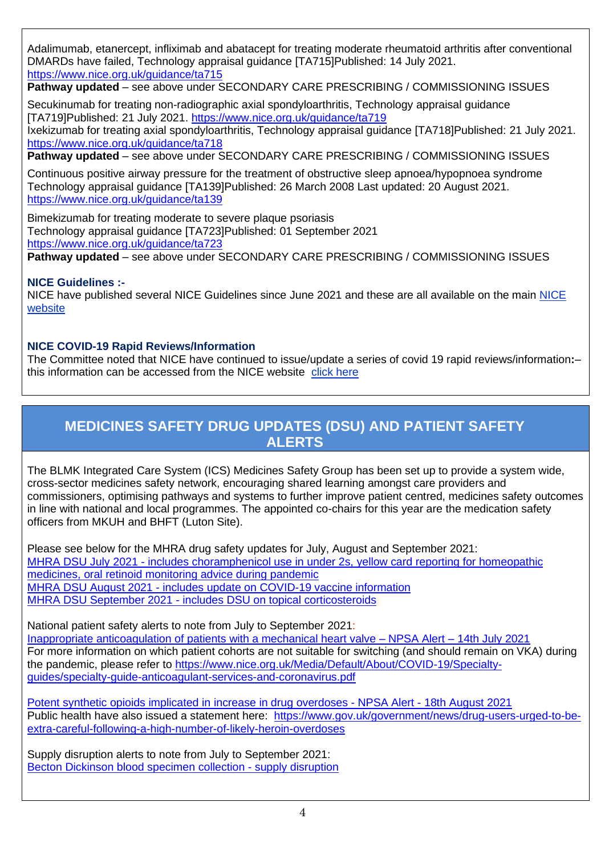Adalimumab, etanercept, infliximab and abatacept for treating moderate rheumatoid arthritis after conventional DMARDs have failed, Technology appraisal guidance [TA715]Published: 14 July 2021. <https://www.nice.org.uk/guidance/ta715>

**Pathway updated** – see above under SECONDARY CARE PRESCRIBING / COMMISSIONING ISSUES

Secukinumab for treating non-radiographic axial spondyloarthritis, Technology appraisal guidance [TA719]Published: 21 July 2021.<https://www.nice.org.uk/guidance/ta719> Ixekizumab for treating axial spondyloarthritis, Technology appraisal guidance [TA718]Published: 21 July 2021. <https://www.nice.org.uk/guidance/ta718>

**Pathway updated** – see above under SECONDARY CARE PRESCRIBING / COMMISSIONING ISSUES

Continuous positive airway pressure for the treatment of obstructive sleep apnoea/hypopnoea syndrome Technology appraisal guidance [TA139]Published: 26 March 2008 Last updated: 20 August 2021. <https://www.nice.org.uk/guidance/ta139>

Bimekizumab for treating moderate to severe plaque psoriasis Technology appraisal guidance [TA723]Published: 01 September 2021 <https://www.nice.org.uk/guidance/ta723> **Pathway updated** – see above under SECONDARY CARE PRESCRIBING / COMMISSIONING ISSUES

#### **NICE Guidelines :-**

NICE have published several [NICE](https://www.nice.org.uk/) Guidelines since June 2021 and these are all available on the main NICE [website](https://www.nice.org.uk/)

#### **NICE COVID-19 Rapid Reviews/Information**

The Committee noted that NICE have continued to issue/update a series of covid 19 rapid reviews/information**:**– this information can be accessed from the NICE website [click here](https://www.nice.org.uk/covid-19)

## **MEDICINES SAFETY DRUG UPDATES (DSU) AND PATIENT SAFETY ALERTS**

The BLMK Integrated Care System (ICS) Medicines Safety Group has been set up to provide a system wide, cross-sector medicines safety network, encouraging shared learning amongst care providers and commissioners, optimising pathways and systems to further improve patient centred, medicines safety outcomes in line with national and local programmes. The appointed co-chairs for this year are the medication safety officers from MKUH and BHFT (Luton Site).

Please see below for the MHRA drug safety updates for July, August and September 2021: MHRA DSU July 2021 - [includes choramphenicol use in under 2s, yellow card reporting for homeopathic](https://assets.publishing.service.gov.uk/government/uploads/system/uploads/attachment_data/file/1000159/July-2021-DSU-PDF.pdf)  [medicines, oral retinoid monitoring advice during pandemic](https://assets.publishing.service.gov.uk/government/uploads/system/uploads/attachment_data/file/1000159/July-2021-DSU-PDF.pdf)  MHRA DSU August 2021 - [includes update on COVID-19 vaccine information](https://assets.publishing.service.gov.uk/government/uploads/system/uploads/attachment_data/file/1011467/Aug-2021-DSU-PDF.pdf) MHRA DSU September 2021 - [includes DSU on topical corticosteroids](https://assets.publishing.service.gov.uk/government/uploads/system/uploads/attachment_data/file/1017844/Sept-2021-DSU-PDF.pdf)

National patient safety alerts to note from July to September 2021: [Inappropriate anticoagulation of patients with a mechanical heart valve –](https://www.england.nhs.uk/wp-content/uploads/2021/07/NaPSA-DOAC-Heart-Valve-FINAL-v2.pdf) NPSA Alert – 14th July 2021 For more information on which patient cohorts are not suitable for switching (and should remain on VKA) during the pandemic, please refer to [https://www.nice.org.uk/Media/Default/About/COVID-19/Specialty](https://www.nice.org.uk/Media/Default/About/COVID-19/Specialty-guides/specialty-guide-anticoagulant-services-and-coronavirus.pdf)[guides/specialty-guide-anticoagulant-services-and-coronavirus.pdf](https://www.nice.org.uk/Media/Default/About/COVID-19/Specialty-guides/specialty-guide-anticoagulant-services-and-coronavirus.pdf)

[Potent synthetic opioids implicated in increase in drug overdoses -](file:///C:/Users/WingfieldD/Downloads/NatPSA_2021_007_PHE.pdf) NPSA Alert - 18th August 2021 Public health have also issued a statement here: [https://www.gov.uk/government/news/drug-users-urged-to-be](https://www.gov.uk/government/news/drug-users-urged-to-be-extra-careful-following-a-high-number-of-likely-heroin-overdoses)[extra-careful-following-a-high-number-of-likely-heroin-overdoses](https://www.gov.uk/government/news/drug-users-urged-to-be-extra-careful-following-a-high-number-of-likely-heroin-overdoses)

Supply disruption alerts to note from July to September 2021: [Becton Dickinson blood specimen collection -](https://www.cas.mhra.gov.uk/ViewandAcknowledgment/ViewAlert.aspx?AlertID=103170) supply disruption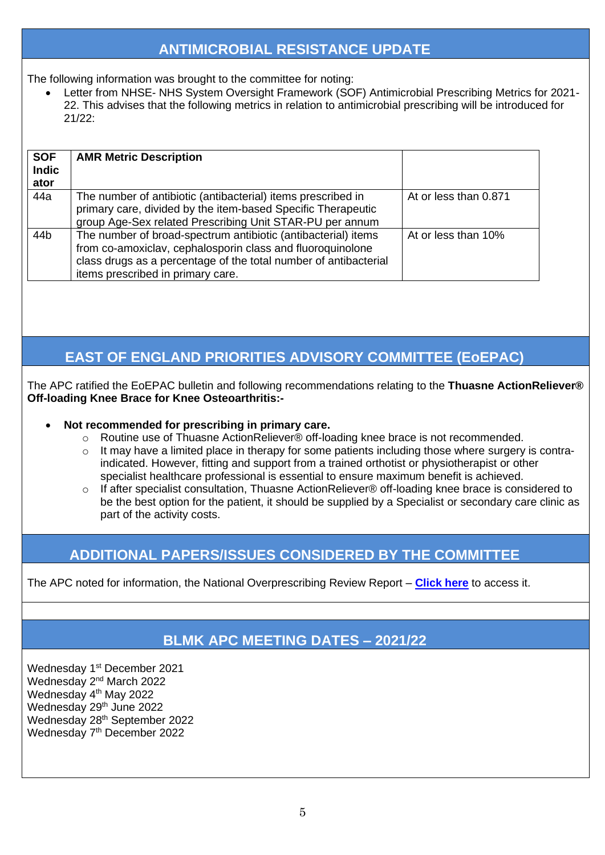# **ANTIMICROBIAL RESISTANCE UPDATE**

The following information was brought to the committee for noting:

• Letter from NHSE- NHS System Oversight Framework (SOF) Antimicrobial Prescribing Metrics for 2021- 22. This advises that the following metrics in relation to antimicrobial prescribing will be introduced for 21/22:

| <b>SOF</b><br><b>Indic</b><br>ator | <b>AMR Metric Description</b>                                                                                                                                                                                                        |                       |
|------------------------------------|--------------------------------------------------------------------------------------------------------------------------------------------------------------------------------------------------------------------------------------|-----------------------|
| 44a                                | The number of antibiotic (antibacterial) items prescribed in<br>primary care, divided by the item-based Specific Therapeutic<br>group Age-Sex related Prescribing Unit STAR-PU per annum                                             | At or less than 0.871 |
| 44b                                | The number of broad-spectrum antibiotic (antibacterial) items<br>from co-amoxiclav, cephalosporin class and fluoroquinolone<br>class drugs as a percentage of the total number of antibacterial<br>items prescribed in primary care. | At or less than 10%   |

# **EAST OF ENGLAND PRIORITIES ADVISORY COMMITTEE (EoEPAC)**

The APC ratified the EoEPAC bulletin and following recommendations relating to the **Thuasne ActionReliever® Off-loading Knee Brace for Knee Osteoarthritis:-**

#### • **Not recommended for prescribing in primary care.**

- o Routine use of Thuasne ActionReliever® off-loading knee brace is not recommended.
- o It may have a limited place in therapy for some patients including those where surgery is contraindicated. However, fitting and support from a trained orthotist or physiotherapist or other specialist healthcare professional is essential to ensure maximum benefit is achieved.
- o If after specialist consultation, Thuasne ActionReliever® off-loading knee brace is considered to be the best option for the patient, it should be supplied by a Specialist or secondary care clinic as part of the activity costs.

# **ADDITIONAL PAPERS/ISSUES CONSIDERED BY THE COMMITTEE**

The APC noted for information, the National Overprescribing Review Report – **[Click here](https://www.gov.uk/government/publications/national-overprescribing-review-report)** to access it.

## **BLMK APC MEETING DATES – 2021/22**

Wednesday 1<sup>st</sup> December 2021 Wednesday 2<sup>nd</sup> March 2022 Wednesday 4<sup>th</sup> May 2022 Wednesday 29<sup>th</sup> June 2022 Wednesday 28<sup>th</sup> September 2022 Wednesday 7<sup>th</sup> December 2022